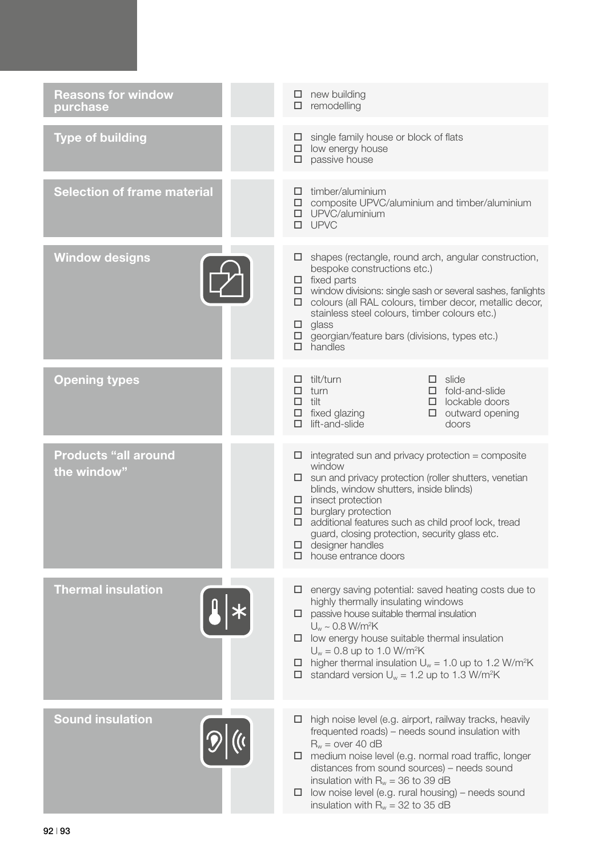| <b>Reasons for window</b><br>purchase      | $\Box$ new building<br>remodelling<br>□                                                                                                                                                                                                                                                                                                                                                                                                   |
|--------------------------------------------|-------------------------------------------------------------------------------------------------------------------------------------------------------------------------------------------------------------------------------------------------------------------------------------------------------------------------------------------------------------------------------------------------------------------------------------------|
| <b>Type of building</b>                    | single family house or block of flats<br>$\Box$<br>$\Box$ low energy house<br>$\square$ passive house                                                                                                                                                                                                                                                                                                                                     |
| <b>Selection of frame material</b>         | $\Box$ timber/aluminium<br>$\square$ composite UPVC/aluminium and timber/aluminium<br><b>D</b> UPVC/aluminium<br>$\square$ UPVC                                                                                                                                                                                                                                                                                                           |
| <b>Window designs</b>                      | shapes (rectangle, round arch, angular construction,<br>ц.<br>bespoke constructions etc.)<br>$\Box$ fixed parts<br>$\Box$ window divisions: single sash or several sashes, fanlights<br>colours (all RAL colours, timber decor, metallic decor,<br>stainless steel colours, timber colours etc.)<br>glass<br>ш.<br>georgian/feature bars (divisions, types etc.)<br>$\Box$<br>$\Box$ handles                                              |
| <b>Opening types</b>                       | tilt/turn<br>$\Box$ slide<br>$\Box$ fold-and-slide<br>turn<br>□<br>$\Box$ tilt<br>$\Box$ lockable doors<br>$\Box$ fixed glazing<br>$\Box$ outward opening<br>lift-and-slide<br>doors                                                                                                                                                                                                                                                      |
| <b>Products "all around</b><br>the window" | integrated sun and privacy protection = composite<br>ш.<br>window<br>sun and privacy protection (roller shutters, venetian<br>□<br>blinds, window shutters, inside blinds)<br>$\Box$ insect protection<br>burglary protection<br>$\Box$<br>additional features such as child proof lock, tread<br>□.<br>guard, closing protection, security glass etc.<br>designer handles<br>house entrance doors                                        |
| <b>Thermal insulation</b>                  | energy saving potential: saved heating costs due to<br>⊔<br>highly thermally insulating windows<br>passive house suitable thermal insulation<br>□<br>$U_w \sim 0.8$ W/m <sup>2</sup> K<br>$\Box$ low energy house suitable thermal insulation<br>$U_w = 0.8$ up to 1.0 W/m <sup>2</sup> K<br>higher thermal insulation $U_w = 1.0$ up to 1.2 W/m <sup>2</sup> K<br>ш.<br>$\Box$ standard version $U_w = 1.2$ up to 1.3 W/m <sup>2</sup> K |
| <b>Sound insulation</b>                    | high noise level (e.g. airport, railway tracks, heavily<br>ш.<br>frequented roads) – needs sound insulation with<br>$R_w = over 40 dB$<br>medium noise level (e.g. normal road traffic, longer<br>□.<br>distances from sound sources) – needs sound<br>insulation with $R_w = 36$ to 39 dB<br>low noise level (e.g. rural housing) – needs sound<br>⊔<br>insulation with $R_w = 32$ to 35 dB                                              |